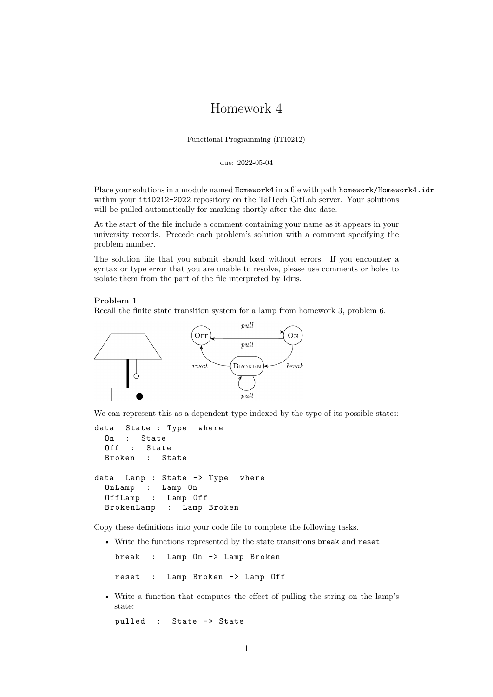# Homework 4

Functional Programming (ITI0212)

due: 2022-05-04

Place your solutions in a module named Homework4 in a file with path homework/Homework4.idr within your iti0212-2022 repository on the TalTech GitLab server. Your solutions will be pulled automatically for marking shortly after the due date.

At the start of the file include a comment containing your name as it appears in your university records. Precede each problem's solution with a comment specifying the problem number.

The solution file that you submit should load without errors. If you encounter a syntax or type error that you are unable to resolve, please use comments or holes to isolate them from the part of the file interpreted by Idris.

#### **Problem 1**

Recall the finite state transition system for a lamp from homework 3, problem 6.



We can represent this as a dependent type indexed by the type of its possible states:

```
data State : Type where
 On : State
 Off : State
 Broken : State
data Lamp : State -> Type where
 OnLamp : Lamp On
 OffLamp : Lamp Off
 BrokenLamp : Lamp Broken
```
Copy these definitions into your code file to complete the following tasks.

• Write the functions represented by the state transitions break and reset:

break : Lamp On -> Lamp Broken

reset : Lamp Broken -> Lamp Off

• Write a function that computes the effect of pulling the string on the lamp's state:

pulled : State -> State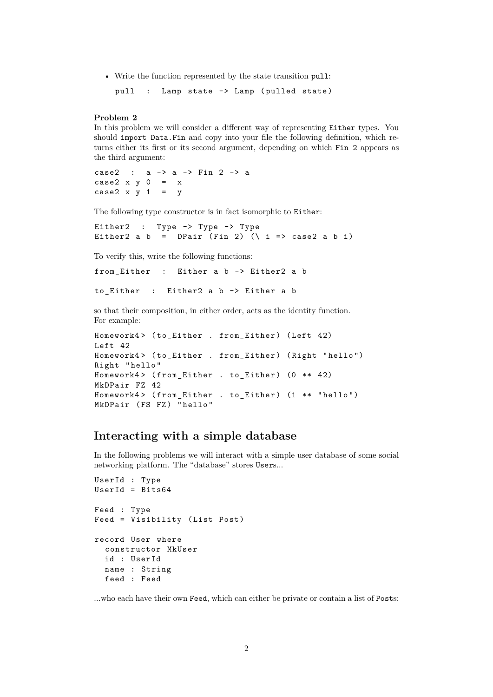• Write the function represented by the state transition pull:

pull : Lamp state -> Lamp (pulled state)

### **Problem 2**

In this problem we will consider a different way of representing Either types. You should import Data.Fin and copy into your file the following definition, which returns either its first or its second argument, depending on which Fin 2 appears as the third argument:

case2 : a -> a -> Fin 2 -> a case2  $x y 0 = x$ case2  $x \ y \ 1 = y$ 

The following type constructor is in fact isomorphic to Either:

Either2 : Type -> Type -> Type Either2 a b = DPair (Fin 2) ( $\iota$  i => case2 a b i)

To verify this, write the following functions:

from\_Either : Either a b -> Either2 a b

```
to_Either : Either2 a b -> Either a b
```
so that their composition, in either order, acts as the identity function. For example:

```
Homework4> (to_Either . from_Either) (Left 42)
Left 42
Homework4 > ( to_Either . from_Either ) ( Right " hello ")
Right " hello "
Homework4> (from_Either . to_Either) (0 ** 42)
MkDPair FZ 42
Homework4> (from_Either . to_Either) (1 ** "hello")
MkDPair (FS FZ) "hello"
```
# **Interacting with a simple database**

In the following problems we will interact with a simple user database of some social networking platform. The "database" stores Users...

```
UserId : Type
UserId = Bits64Feed : Type
Feed = Visibility ( List Post )
record User where
  constructor MkUser
  id : UserId
  name : String
  feed : Feed
```
...who each have their own Feed, which can either be private or contain a list of Posts: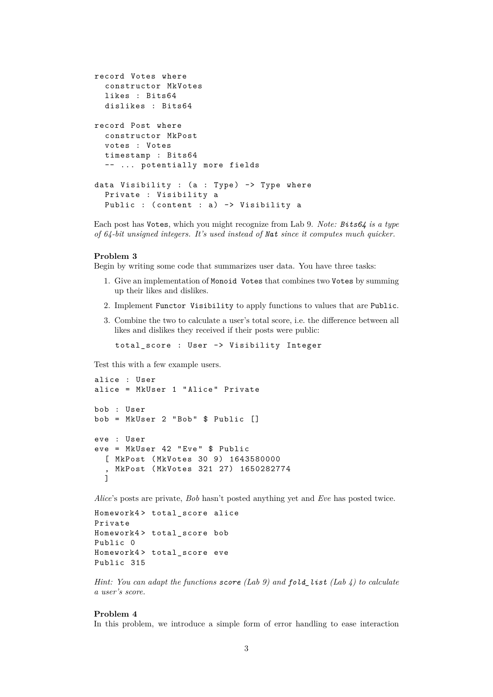```
record Votes where
  constructor MkVotes
 likes : Bits64
 dislikes : Bits64
record Post where
  constructor MkPost
 votes : Votes
 timestamp : Bits64
  -- ... potentially more fields
data Visibility : (a : Type) -> Type where
 Private : Visibility a
 Public : (content : a) -> Visibility a
```
Each post has Votes, which you might recognize from Lab 9. *Note: Bits64 is a type of 64-bit unsigned integers. It's used instead of Nat since it computes much quicker.*

#### **Problem 3**

Begin by writing some code that summarizes user data. You have three tasks:

- 1. Give an implementation of Monoid Votes that combines two Votes by summing up their likes and dislikes.
- 2. Implement Functor Visibility to apply functions to values that are Public.
- 3. Combine the two to calculate a user's total score, i.e. the difference between all likes and dislikes they received if their posts were public:

total\_score : User -> Visibility Integer

Test this with a few example users.

```
alice : User
alice = MkUser 1 " Alice " Private
bob : User
bob = MkUser 2 "Bob" $ Public []eve : User
eve = MkUser 42 " Eve " $ Public
  [ MkPost ( MkVotes 30 9) 1643580000
   , MkPost ( MkVotes 321 27) 1650282774
  \overline{1}
```
*Alice*'s posts are private, *Bob* hasn't posted anything yet and *Eve* has posted twice.

```
Homework4> total score alice
Private
Homework4> total_score bob
Public 0
Homework4 > total_score eve
Public 315
```
*Hint: You can adapt the functions score (Lab 9) and fold\_list (Lab 4) to calculate a user's score.*

### **Problem 4**

In this problem, we introduce a simple form of error handling to ease interaction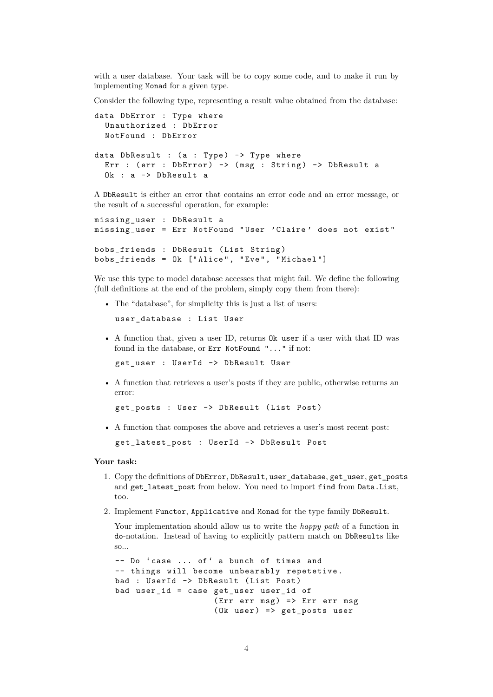with a user database. Your task will be to copy some code, and to make it run by implementing Monad for a given type.

Consider the following type, representing a result value obtained from the database:

```
data DbError : Type where
  Unauthorized : DbError
  NotFound : DbError
data DbResult : (a : Type) \rightarrow Type where
  Err : (err : DbError) \rightarrow (msg : String) \rightarrow DbResult aOk : a -> DbResult a
```
A DbResult is either an error that contains an error code and an error message, or the result of a successful operation, for example:

```
missing_user : DbResult a
missing_user = Err NotFound " User ' Claire ' does not exist "
bobs_friends : DbResult ( List String )
bobs_friends = Ok ["Alice", "Eve", "Michael"]
```
We use this type to model database accesses that might fail. We define the following (full definitions at the end of the problem, simply copy them from there):

• The "database", for simplicity this is just a list of users:

user database : List User

• A function that, given a user ID, returns Ok user if a user with that ID was found in the database, or Err NotFound "..." if not:

get\_user : UserId -> DbResult User

• A function that retrieves a user's posts if they are public, otherwise returns an error:

get\_posts : User -> DbResult ( List Post )

• A function that composes the above and retrieves a user's most recent post:

```
get_latest_post : UserId -> DbResult Post
```
#### **Your task:**

- 1. Copy the definitions of DbError, DbResult, user\_database, get\_user, get\_posts and get\_latest\_post from below. You need to import find from Data.List, too.
- 2. Implement Functor, Applicative and Monad for the type family DbResult.

Your implementation should allow us to write the *happy path* of a function in do-notation. Instead of having to explicitly pattern match on DbResults like so...

```
-- Do 'case ... of' a bunch of times and
-- things will become unbearably repetetive .
bad : UserId -> DbResult (List Post)
bad user_id = case get_user user_id of
                   (Err err msg) => Err err msg(0k user) => get_posts user
```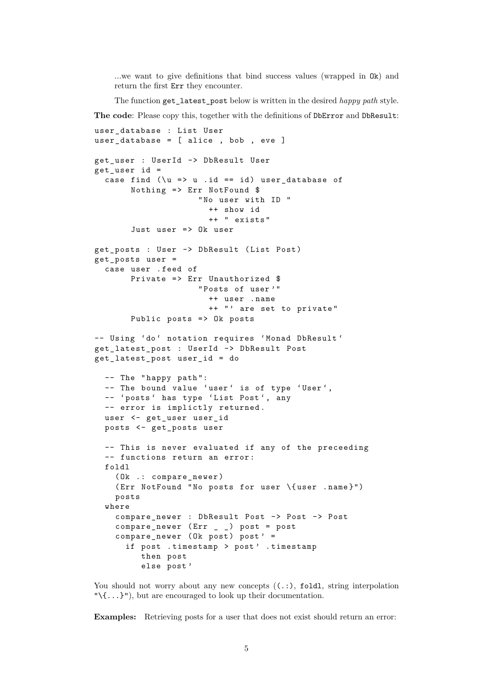...we want to give definitions that bind success values (wrapped in Ok) and return the first Err they encounter.

The function get\_latest\_post below is written in the desired *happy path* style.

**The code**: Please copy this, together with the definitions of DbError and DbResult:

```
user_database : List User
user_database = [ alice , bob , eve ]
get_user : UserId -> DbResult User
get_user id =
  case find (\u => u \dot{id} == id) user_database of
       Nothing \Rightarrow Err NotFound $
                     " No user with ID "
                       ++ show id
                       ++ " exists "
       Just user => 0k user
get_posts : User -> DbResult ( List Post )
get_posts user =
  case user . feed of
       Private \Rightarrow Err Unauthorized $
                     " Posts of user '"
                       ++ user . name
                       ++ "' are set to private"
       Public posts => Ok posts
-- Using 'do' notation requires 'Monad DbResult'
get_latest_post : UserId -> DbResult Post
get_latest_post user_id = do
  -- The " happy path ":
  -- The bound value 'user' is of type 'User',
  -- 'posts' has type 'List Post', any
  -- error is implictly returned.
  user <- get_user user_id
  posts <- get_posts user
  -- This is never evaluated if any of the preceeding
  -- functions return an error :
  foldl
    ( Ok .: compare_newer )
    ( Err NotFound " No posts for user \{ user . name }")
    posts
  where
    compare_newer : DbResult Post -> Post -> Post
    compare_newer ( Err _ _ ) post = post
    compare newer (0k post) post' =
      if post . timestamp > post ' . timestamp
         then post
         else post '
```
You should not worry about any new concepts  $((. :),$  foldl, string interpolation " $\langle \{\ldots\}$ "), but are encouraged to look up their documentation.

**Examples:** Retrieving posts for a user that does not exist should return an error: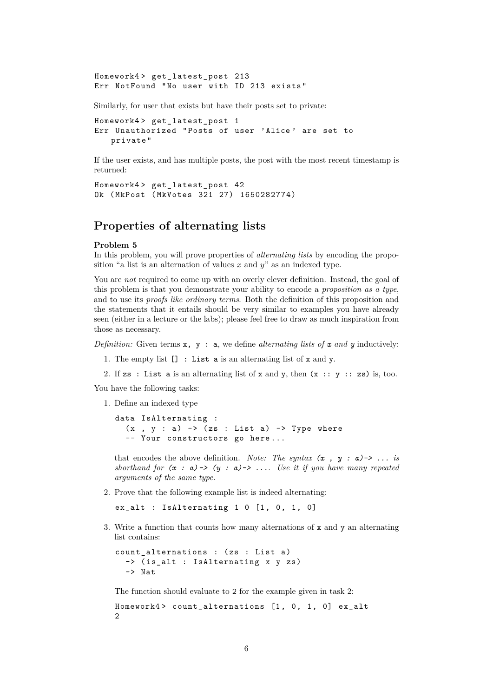Homework4 > get\_latest\_post 213 Err NotFound " No user with ID 213 exists "

Similarly, for user that exists but have their posts set to private:

Homework4> get latest post 1 Err Unauthorized " Posts of user ' Alice ' are set to private "

If the user exists, and has multiple posts, the post with the most recent timestamp is returned:

```
Homework4 > get_latest_post 42
Ok ( MkPost ( MkVotes 321 27) 1650282774)
```
## **Properties of alternating lists**

#### **Problem 5**

In this problem, you will prove properties of *alternating lists* by encoding the proposition "a list is an alternation of values *x* and *y*" as an indexed type.

You are *not* required to come up with an overly clever definition. Instead, the goal of this problem is that you demonstrate your ability to encode a *proposition as a type*, and to use its *proofs like ordinary terms*. Both the definition of this proposition and the statements that it entails should be very similar to examples you have already seen (either in a lecture or the labs); please feel free to draw as much inspiration from those as necessary.

*Definition:* Given terms  $x$ ,  $y$ : a, we define *alternating lists of*  $x$  *and*  $y$  inductively:

- 1. The empty list [] : List a is an alternating list of x and y.
- 2. If zs : List a is an alternating list of x and y, then  $(x : y :: zs)$  is, too.

You have the following tasks:

1. Define an indexed type

```
data IsAlternating :
  (x , y : a) -> (zs : List a) -> Type where
  -- Your constructors go here...
```
that encodes the above definition. *Note: The syntax*  $(x, y : a) \rightarrow \ldots$  *is shorthand for*  $(x : a) \rightarrow (y : a) \rightarrow \dots$  Use it if you have many repeated *arguments of the same type.*

<span id="page-5-0"></span>2. Prove that the following example list is indeed alternating:

ex\_alt : IsAlternating  $1 \t0 [1, 0, 1, 0]$ 

3. Write a function that counts how many alternations of x and y an alternating list contains:

```
count alternations : (zs : List a)
  -> (is alt : IsAlternating x y zs)
  -> Nat.
```
The function should evaluate to 2 for the example given in task [2:](#page-5-0)

```
Homework4> count_alternations [1, 0, 1, 0] ex_alt
2
```